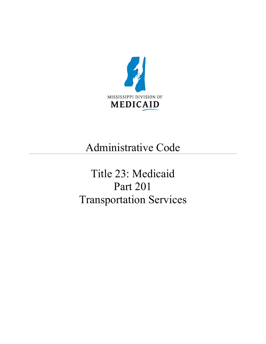<span id="page-0-0"></span>

## Administrative Code

# <span id="page-0-1"></span>Title 23: Medicaid Part 201 Transportation Services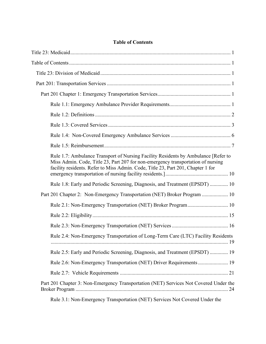### **Table of Contents**

| Rule 1.7: Ambulance Transport of Nursing Facility Residents by Ambulance [Refer to<br>Miss Admin. Code, Title 23, Part 207 for non-emergency transportation of nursing<br>facility residents. Refer to Miss Admin. Code, Title 23, Part 201, Chapter 1 for                                                                                  |
|---------------------------------------------------------------------------------------------------------------------------------------------------------------------------------------------------------------------------------------------------------------------------------------------------------------------------------------------|
| Rule 1.8: Early and Periodic Screening, Diagnosis, and Treatment (EPSDT)  10                                                                                                                                                                                                                                                                |
| Part 201 Chapter 2: Non-Emergency Transportation (NET) Broker Program  10                                                                                                                                                                                                                                                                   |
| Rule 2.1: Non-Emergency Transportation (NET) Broker Program 10                                                                                                                                                                                                                                                                              |
|                                                                                                                                                                                                                                                                                                                                             |
|                                                                                                                                                                                                                                                                                                                                             |
| Rule 2.4: Non-Emergency Transportation of Long-Term Care (LTC) Facility Residents                                                                                                                                                                                                                                                           |
| Rule 2.5: Early and Periodic Screening, Diagnosis, and Treatment (EPSDT)  19                                                                                                                                                                                                                                                                |
| Rule 2.6: Non-Emergency Transportation (NET) Driver Requirements 19                                                                                                                                                                                                                                                                         |
|                                                                                                                                                                                                                                                                                                                                             |
| Part 201 Chapter 3: Non-Emergency Transportation (NET) Services Not Covered Under the                                                                                                                                                                                                                                                       |
| $2.1$ M F $\qquad \qquad$ $\qquad$ $\qquad$ $\qquad$ $\qquad$ $\qquad$ $\qquad$ $\qquad$ $\qquad$ $\qquad$ $\qquad$ $\qquad$ $\qquad$ $\qquad$ $\qquad$ $\qquad$ $\qquad$ $\qquad$ $\qquad$ $\qquad$ $\qquad$ $\qquad$ $\qquad$ $\qquad$ $\qquad$ $\qquad$ $\qquad$ $\qquad$ $\qquad$ $\qquad$ $\qquad$ $\qquad$ $\qquad$ $\qquad$ $\qquad$ |

[Rule 3.1: Non-Emergency Transportation \(NET\) Services Not Covered Under the](#page-26-1)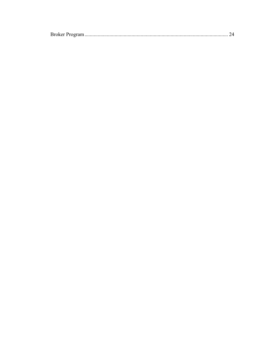|--|--|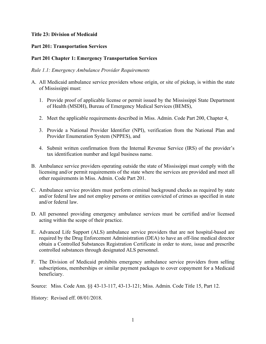#### <span id="page-3-0"></span>**Title 23: Division of Medicaid**

#### <span id="page-3-1"></span>**Part 201: Transportation Services**

#### <span id="page-3-2"></span>**Part 201 Chapter 1: Emergency Transportation Services**

#### <span id="page-3-3"></span>*Rule 1.1: Emergency Ambulance Provider Requirements*

- A. All Medicaid ambulance service providers whose origin, or site of pickup, is within the state of Mississippi must:
	- 1. Provide proof of applicable license or permit issued by the Mississippi State Department of Health (MSDH), Bureau of Emergency Medical Services (BEMS),
	- 2. Meet the applicable requirements described in Miss. Admin. Code Part 200, Chapter 4,
	- 3. Provide a National Provider Identifier (NPI), verification from the National Plan and Provider Enumeration System (NPPES), and
	- 4. Submit written confirmation from the Internal Revenue Service (IRS) of the provider's tax identification number and legal business name.
- B. Ambulance service providers operating outside the state of Mississippi must comply with the licensing and/or permit requirements of the state where the services are provided and meet all other requirements in Miss. Admin. Code Part 201.
- C. Ambulance service providers must perform criminal background checks as required by state and/or federal law and not employ persons or entities convicted of crimes as specified in state and/or federal law.
- D. All personnel providing emergency ambulance services must be certified and/or licensed acting within the scope of their practice.
- E. Advanced Life Support (ALS) ambulance service providers that are not hospital-based are required by the Drug Enforcement Administration (DEA) to have an off-line medical director obtain a Controlled Substances Registration Certificate in order to store, issue and prescribe controlled substances through designated ALS personnel.
- F. The Division of Medicaid prohibits emergency ambulance service providers from selling subscriptions, memberships or similar payment packages to cover copayment for a Medicaid beneficiary.

Source: Miss. Code Ann. §§ 43-13-117, 43-13-121; Miss. Admin. Code Title 15, Part 12.

History: Revised eff. 08/01/2018.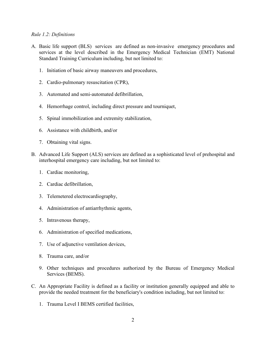#### <span id="page-4-0"></span>*Rule 1.2: Definitions*

- A. Basic life support (BLS) services are defined as non-invasive emergency procedures and services at the level described in the Emergency Medical Technician (EMT) National Standard Training Curriculum including, but not limited to:
	- 1. Initiation of basic airway maneuvers and procedures,
	- 2. Cardio-pulmonary resuscitation (CPR),
	- 3. Automated and semi-automated defibrillation,
	- 4. Hemorrhage control, including direct pressure and tourniquet,
	- 5. Spinal immobilization and extremity stabilization,
	- 6. Assistance with childbirth, and/or
	- 7. Obtaining vital signs.
- B. Advanced Life Support (ALS) services are defined as a sophisticated level of prehospital and interhospital emergency care including, but not limited to:
	- 1. Cardiac monitoring,
	- 2. Cardiac defibrillation,
	- 3. Telemetered electrocardiography,
	- 4. Administration of antiarrhythmic agents,
	- 5. Intravenous therapy,
	- 6. Administration of specified medications,
	- 7. Use of adjunctive ventilation devices,
	- 8. Trauma care, and/or
	- 9. Other techniques and procedures authorized by the Bureau of Emergency Medical Services (BEMS).
- C. An Appropriate Facility is defined as a facility or institution generally equipped and able to provide the needed treatment for the beneficiary's condition including, but not limited to:
	- 1. Trauma Level I BEMS certified facilities,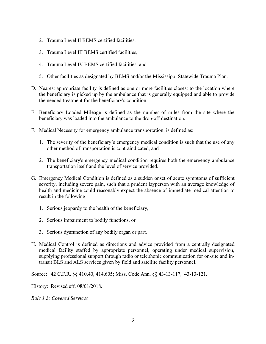- 2. Trauma Level II BEMS certified facilities,
- 3. Trauma Level III BEMS certified facilities,
- 4. Trauma Level IV BEMS certified facilities, and
- 5. Other facilities as designated by BEMS and/or the Mississippi Statewide Trauma Plan.
- D. Nearest appropriate facility is defined as one or more facilities closest to the location where the beneficiary is picked up by the ambulance that is generally equipped and able to provide the needed treatment for the beneficiary's condition.
- E. Beneficiary Loaded Mileage is defined as the number of miles from the site where the beneficiary was loaded into the ambulance to the drop-off destination.
- F. Medical Necessity for emergency ambulance transportation, is defined as:
	- 1. The severity of the beneficiary's emergency medical condition is such that the use of any other method of transportation is contraindicated, and
	- 2. The beneficiary's emergency medical condition requires both the emergency ambulance transportation itself and the level of service provided.
- G. Emergency Medical Condition is defined as a sudden onset of acute symptoms of sufficient severity, including severe pain, such that a prudent layperson with an average knowledge of health and medicine could reasonably expect the absence of immediate medical attention to result in the following:
	- 1. Serious jeopardy to the health of the beneficiary,
	- 2. Serious impairment to bodily functions, or
	- 3. Serious dysfunction of any bodily organ or part.
- H. Medical Control is defined as directions and advice provided from a centrally designated medical facility staffed by appropriate personnel, operating under medical supervision, supplying professional support through radio or telephonic communication for on-site and intransit BLS and ALS services given by field and satellite facility personnel.

Source: 42 C.F.R. §§ 410.40, 414.605; Miss. Code Ann. §§ 43-13-117, 43-13-121.

History: Revised eff. 08/01/2018.

<span id="page-5-0"></span>*Rule 1.3: Covered Services*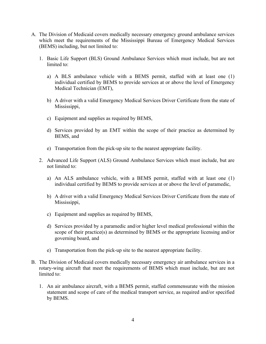- A. The Division of Medicaid covers medically necessary emergency ground ambulance services which meet the requirements of the Mississippi Bureau of Emergency Medical Services (BEMS) including, but not limited to:
	- 1. Basic Life Support (BLS) Ground Ambulance Services which must include, but are not limited to:
		- a) A BLS ambulance vehicle with a BEMS permit, staffed with at least one (1) individual certified by BEMS to provide services at or above the level of Emergency Medical Technician (EMT),
		- b) A driver with a valid Emergency Medical Services Driver Certificate from the state of Mississippi,
		- c) Equipment and supplies as required by BEMS,
		- d) Services provided by an EMT within the scope of their practice as determined by BEMS, and
		- e) Transportation from the pick-up site to the nearest appropriate facility.
	- 2. Advanced Life Support (ALS) Ground Ambulance Services which must include, but are not limited to:
		- a) An ALS ambulance vehicle, with a BEMS permit, staffed with at least one (1) individual certified by BEMS to provide services at or above the level of paramedic,
		- b) A driver with a valid Emergency Medical Services Driver Certificate from the state of Mississippi,
		- c) Equipment and supplies as required by BEMS,
		- d) Services provided by a paramedic and/or higher level medical professional within the scope of their practice(s) as determined by BEMS or the appropriate licensing and/or governing board, and
		- e) Transportation from the pick-up site to the nearest appropriate facility.
- B. The Division of Medicaid covers medically necessary emergency air ambulance services in a rotary-wing aircraft that meet the requirements of BEMS which must include, but are not limited to:
	- 1. An air ambulance aircraft, with a BEMS permit, staffed commensurate with the mission statement and scope of care of the medical transport service, as required and/or specified by BEMS.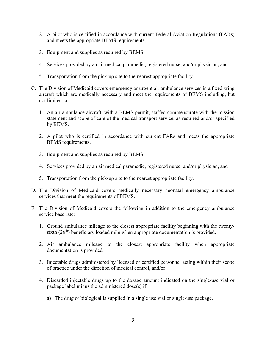- 2. A pilot who is certified in accordance with current Federal Aviation Regulations (FARs) and meets the appropriate BEMS requirements,
- 3. Equipment and supplies as required by BEMS,
- 4. Services provided by an air medical paramedic, registered nurse, and/or physician, and
- 5. Transportation from the pick-up site to the nearest appropriate facility.
- C. The Division of Medicaid covers emergency or urgent air ambulance services in a fixed-wing aircraft which are medically necessary and meet the requirements of BEMS including, but not limited to:
	- 1. An air ambulance aircraft, with a BEMS permit, staffed commensurate with the mission statement and scope of care of the medical transport service, as required and/or specified by BEMS.
	- 2. A pilot who is certified in accordance with current FARs and meets the appropriate BEMS requirements,
	- 3. Equipment and supplies as required by BEMS,
	- 4. Services provided by an air medical paramedic, registered nurse, and/or physician, and
	- 5. Transportation from the pick-up site to the nearest appropriate facility.
- D. The Division of Medicaid covers medically necessary neonatal emergency ambulance services that meet the requirements of BEMS.
- E. The Division of Medicaid covers the following in addition to the emergency ambulance service base rate:
	- 1. Ground ambulance mileage to the closest appropriate facility beginning with the twentysixth  $(26<sup>th</sup>)$  beneficiary loaded mile when appropriate documentation is provided.
	- 2. Air ambulance mileage to the closest appropriate facility when appropriate documentation is provided.
	- 3. Injectable drugs administered by licensed or certified personnel acting within their scope of practice under the direction of medical control, and/or
	- 4. Discarded injectable drugs up to the dosage amount indicated on the single-use vial or package label minus the administered dose(s) if:
		- a) The drug or biological is supplied in a single use vial or single-use package,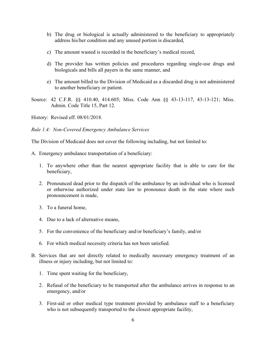- b) The drug or biological is actually administered to the beneficiary to appropriately address his/her condition and any unused portion is discarded,
- c) The amount wasted is recorded in the beneficiary's medical record,
- d) The provider has written policies and procedures regarding single-use drugs and biologicals and bills all payers in the same manner, and
- e) The amount billed to the Division of Medicaid as a discarded drug is not administered to another beneficiary or patient.
- Source: 42 C.F.R. §§ 410.40, 414.605; Miss. Code Ann §§ 43-13-117, 43-13-121; Miss. Admin. Code Title 15, Part 12.

History: Revised eff. 08/01/2018.

<span id="page-8-0"></span>*Rule 1.4: Non-Covered Emergency Ambulance Services*

The Division of Medicaid does not cover the following including, but not limited to:

- A. Emergency ambulance transportation of a beneficiary:
	- 1. To anywhere other than the nearest appropriate facility that is able to care for the beneficiary,
	- 2. Pronounced dead prior to the dispatch of the ambulance by an individual who is licensed or otherwise authorized under state law to pronounce death in the state where such pronouncement is made,
	- 3. To a funeral home,
	- 4. Due to a lack of alternative means,
	- 5. For the convenience of the beneficiary and/or beneficiary's family, and/or
	- 6. For which medical necessity criteria has not been satisfied.
- B. Services that are not directly related to medically necessary emergency treatment of an illness or injury including, but not limited to:
	- 1. Time spent waiting for the beneficiary,
	- 2. Refusal of the beneficiary to be transported after the ambulance arrives in response to an emergency, and/or
	- 3. First-aid or other medical type treatment provided by ambulance staff to a beneficiary who is not subsequently transported to the closest appropriate facility,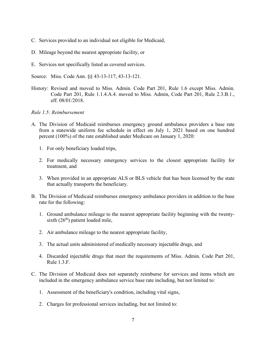- C. Services provided to an individual not eligible for Medicaid,
- D. Mileage beyond the nearest appropriate facility, or
- E. Services not specifically listed as covered services.
- Source: Miss. Code Ann. §§ 43-13-117, 43-13-121.
- History: Revised and moved to Miss. Admin. Code Part 201, Rule 1.6 except Miss. Admin. Code Part 201, Rule 1.1.4.A.4. moved to Miss. Admin, Code Part 201, Rule 2.3.B.1., eff. 08/01/2018.

#### <span id="page-9-0"></span>*Rule 1.5: Reimbursement*

- A. The Division of Medicaid reimburses emergency ground ambulance providers a base rate from a statewide uniform fee schedule in effect on July 1, 2021 based on one hundred percent (100%) of the rate established under Medicare on January 1, 2020:
	- 1. For only beneficiary loaded trips,
	- 2. For medically necessary emergency services to the closest appropriate facility for treatment, and
	- 3. When provided in an appropriate ALS or BLS vehicle that has been licensed by the state that actually transports the beneficiary.
- B. The Division of Medicaid reimburses emergency ambulance providers in addition to the base rate for the following:
	- 1. Ground ambulance mileage to the nearest appropriate facility beginning with the twentysixth  $(26<sup>th</sup>)$  patient loaded mile,
	- 2. Air ambulance mileage to the nearest appropriate facility,
	- 3. The actual units administered of medically necessary injectable drugs, and
	- 4. Discarded injectable drugs that meet the requirements of Miss. Admin. Code Part 201, Rule 1.3.F.
- C. The Division of Medicaid does not separately reimburse for services and items which are included in the emergency ambulance service base rate including, but not limited to:
	- 1. Assessment of the beneficiary's condition, including vital signs,
	- 2. Charges for professional services including, but not limited to: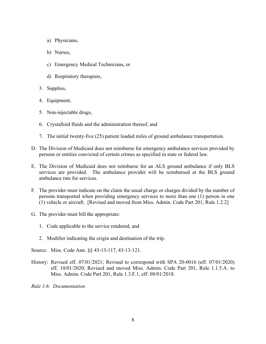- a) Physicians,
- b) Nurses,
- c) Emergency Medical Technicians, or
- d) Respiratory therapists,
- 3. Supplies,
- 4. Equipment,
- 5. Non-injectable drugs,
- 6. Crystalloid fluids and the administration thereof, and
- 7. The initial twenty-five (25) patient loaded miles of ground ambulance transportation.
- D. The Division of Medicaid does not reimburse for emergency ambulance services provided by persons or entities convicted of certain crimes as specified in state or federal law.
- E. The Division of Medicaid does not reimburse for an ALS ground ambulance if only BLS services are provided. The ambulance provider will be reimbursed at the BLS ground ambulance rate for services.
- F. The provider must indicate on the claim the usual charge or charges divided by the number of persons transported when providing emergency services to more than one (1) person in one (1) vehicle or aircraft. [Revised and moved from Miss. Admin. Code Part 201, Rule 1.2.2]
- G. The provider must bill the appropriate:
	- 1. Code applicable to the service rendered, and
	- 2. Modifier indicating the origin and destination of the trip.

Source: Miss. Code Ann. §§ 43-13-117, 43-13-121.

History: Revised eff. 07/01/2021; Revised to correspond with SPA 20-0016 (eff. 07/01/2020) eff. 10/01/2020; Revised and moved Miss. Admin. Code Part 201, Rule 1.1.5.A. to Miss. Admin. Code Part 201, Rule 1.3.F.1, eff. 08/01/2018.

*Rule 1.6: Documentation*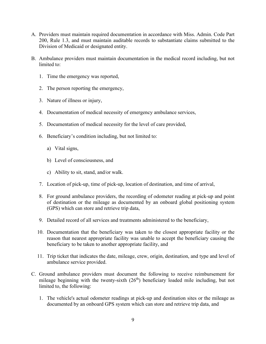- A. Providers must maintain required documentation in accordance with Miss. Admin. Code Part 200, Rule 1.3, and must maintain auditable records to substantiate claims submitted to the Division of Medicaid or designated entity.
- B. Ambulance providers must maintain documentation in the medical record including, but not limited to:
	- 1. Time the emergency was reported,
	- 2. The person reporting the emergency,
	- 3. Nature of illness or injury,
	- 4. Documentation of medical necessity of emergency ambulance services,
	- 5. Documentation of medical necessity for the level of care provided,
	- 6. Beneficiary's condition including, but not limited to:
		- a) Vital signs,
		- b) Level of consciousness, and
		- c) Ability to sit, stand, and/or walk.
	- 7. Location of pick-up, time of pick-up, location of destination, and time of arrival,
	- 8. For ground ambulance providers, the recording of odometer reading at pick-up and point of destination or the mileage as documented by an onboard global positioning system (GPS) which can store and retrieve trip data,
	- 9. Detailed record of all services and treatments administered to the beneficiary,
	- 10. Documentation that the beneficiary was taken to the closest appropriate facility or the reason that nearest appropriate facility was unable to accept the beneficiary causing the beneficiary to be taken to another appropriate facility, and
	- 11. Trip ticket that indicates the date, mileage, crew, origin, destination, and type and level of ambulance service provided.
- C. Ground ambulance providers must document the following to receive reimbursement for mileage beginning with the twenty-sixth  $(26<sup>th</sup>)$  beneficiary loaded mile including, but not limited to, the following:
	- 1. The vehicle's actual odometer readings at pick-up and destination sites or the mileage as documented by an onboard GPS system which can store and retrieve trip data, and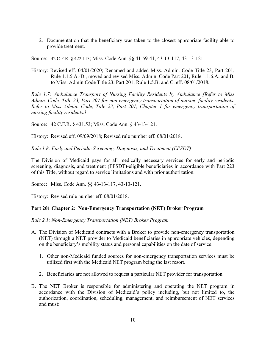2. Documentation that the beneficiary was taken to the closest appropriate facility able to provide treatment.

Source: 42 C.F.R. § 422.113; Miss. Code Ann. §§ 41-59-41, 43-13-117, 43-13-121.

History: Revised eff. 04/01/2020; Renamed and added Miss. Admin. Code Title 23, Part 201, Rule 1.1.5.A.-D., moved and revised Miss. Admin. Code Part 201, Rule 1.1.6.A. and B. to Miss. Admin Code Title 23, Part 201, Rule 1.5.B. and C. eff. 08/01/2018.

<span id="page-12-0"></span>*Rule 1.7: Ambulance Transport of Nursing Facility Residents by Ambulance [Refer to Miss Admin. Code, Title 23, Part 207 for non-emergency transportation of nursing facility residents. Refer to Miss Admin. Code, Title 23, Part 201, Chapter 1 for emergency transportation of nursing facility residents.]*

Source: 42 C.F.R. § 431.53; Miss. Code Ann. § 43-13-121.

History: Revised eff. 09/09/2018; Revised rule number eff. 08/01/2018.

<span id="page-12-1"></span>*Rule 1.8: Early and Periodic Screening, Diagnosis, and Treatment (EPSDT)*

The Division of Medicaid pays for all medically necessary services for early and periodic screening, diagnosis, and treatment (EPSDT)-eligible beneficiaries in accordance with Part 223 of this Title, without regard to service limitations and with prior authorization.

Source: Miss. Code Ann. §§ 43-13-117, 43-13-121.

History: Revised rule number eff. 08/01/2018.

#### <span id="page-12-2"></span>**Part 201 Chapter 2: Non-Emergency Transportation (NET) Broker Program**

<span id="page-12-3"></span>*Rule 2.1: Non-Emergency Transportation (NET) Broker Program*

- A. The Division of Medicaid contracts with a Broker to provide non-emergency transportation (NET) through a NET provider to Medicaid beneficiaries in appropriate vehicles, depending on the beneficiary's mobility status and personal capabilities on the date of service.
	- 1. Other non-Medicaid funded sources for non-emergency transportation services must be utilized first with the Medicaid NET program being the last resort.
	- 2. Beneficiaries are not allowed to request a particular NET provider for transportation.
- B. The NET Broker is responsible for administering and operating the NET program in accordance with the Division of Medicaid's policy including, but not limited to, the authorization, coordination, scheduling, management, and reimbursement of NET services and must: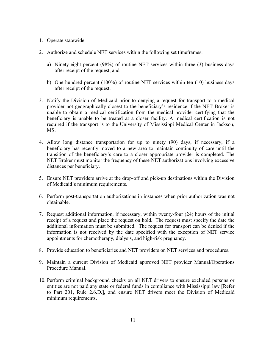- 1. Operate statewide.
- 2. Authorize and schedule NET services within the following set timeframes:
	- a) Ninety-eight percent (98%) of routine NET services within three (3) business days after receipt of the request, and
	- b) One hundred percent (100%) of routine NET services within ten (10) business days after receipt of the request.
- 3. Notify the Division of Medicaid prior to denying a request for transport to a medical provider not geographically closest to the beneficiary's residence if the NET Broker is unable to obtain a medical certification from the medical provider certifying that the beneficiary is unable to be treated at a closer facility. A medical certification is not required if the transport is to the University of Mississippi Medical Center in Jackson, MS.
- 4. Allow long distance transportation for up to ninety (90) days, if necessary, if a beneficiary has recently moved to a new area to maintain continuity of care until the transition of the beneficiary's care to a closer appropriate provider is completed. The NET Broker must monitor the frequency of these NET authorizations involving excessive distances per beneficiary.
- 5. Ensure NET providers arrive at the drop-off and pick-up destinations within the Division of Medicaid's minimum requirements.
- 6. Perform post-transportation authorizations in instances when prior authorization was not obtainable.
- 7. Request additional information, if necessary, within twenty-four (24) hours of the initial receipt of a request and place the request on hold. The request must specify the date the additional information must be submitted. The request for transport can be denied if the information is not received by the date specified with the exception of NET service appointments for chemotherapy, dialysis, and high-risk pregnancy.
- 8. Provide education to beneficiaries and NET providers on NET services and procedures.
- 9. Maintain a current Division of Medicaid approved NET provider Manual/Operations Procedure Manual.
- 10. Perform criminal background checks on all NET drivers to ensure excluded persons or entities are not paid any state or federal funds in compliance with Mississippi law [Refer to Part 201, Rule 2.6.D.], and ensure NET drivers meet the Division of Medicaid minimum requirements.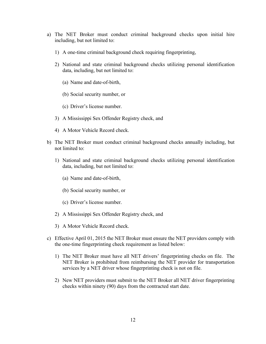- a) The NET Broker must conduct criminal background checks upon initial hire including, but not limited to:
	- 1) A one-time criminal background check requiring fingerprinting,
	- 2) National and state criminal background checks utilizing personal identification data, including, but not limited to:
		- (a) Name and date-of-birth,
		- (b) Social security number, or
		- (c) Driver's license number.
	- 3) A Mississippi Sex Offender Registry check, and
	- 4) A Motor Vehicle Record check.
- b) The NET Broker must conduct criminal background checks annually including, but not limited to:
	- 1) National and state criminal background checks utilizing personal identification data, including, but not limited to:
		- (a) Name and date-of-birth,
		- (b) Social security number, or
		- (c) Driver's license number.
	- 2) A Mississippi Sex Offender Registry check, and
	- 3) A Motor Vehicle Record check.
- c) Effective April 01, 2015 the NET Broker must ensure the NET providers comply with the one-time fingerprinting check requirement as listed below:
	- 1) The NET Broker must have all NET drivers' fingerprinting checks on file. The NET Broker is prohibited from reimbursing the NET provider for transportation services by a NET driver whose fingerprinting check is not on file.
	- 2) New NET providers must submit to the NET Broker all NET driver fingerprinting checks within ninety (90) days from the contracted start date.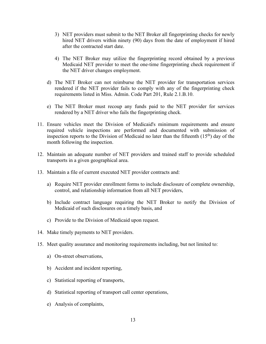- 3) NET providers must submit to the NET Broker all fingerprinting checks for newly hired NET drivers within ninety (90) days from the date of employment if hired after the contracted start date.
- 4) The NET Broker may utilize the fingerprinting record obtained by a previous Medicaid NET provider to meet the one-time fingerprinting check requirement if the NET driver changes employment.
- d) The NET Broker can not reimburse the NET provider for transportation services rendered if the NET provider fails to comply with any of the fingerprinting check requirements listed in Miss. Admin. Code Part 201, Rule 2.1.B.10.
- e) The NET Broker must recoup any funds paid to the NET provider for services rendered by a NET driver who fails the fingerprinting check.
- 11. Ensure vehicles meet the Division of Medicaid's minimum requirements and ensure required vehicle inspections are performed and documented with submission of inspection reports to the Division of Medicaid no later than the fifteenth  $(15<sup>th</sup>)$  day of the month following the inspection.
- 12. Maintain an adequate number of NET providers and trained staff to provide scheduled transports in a given geographical area.
- 13. Maintain a file of current executed NET provider contracts and:
	- a) Require NET provider enrollment forms to include disclosure of complete ownership, control, and relationship information from all NET providers,
	- b) Include contract language requiring the NET Broker to notify the Division of Medicaid of such disclosures on a timely basis, and
	- c) Provide to the Division of Medicaid upon request.
- 14. Make timely payments to NET providers.
- 15. Meet quality assurance and monitoring requirements including, but not limited to:
	- a) On-street observations,
	- b) Accident and incident reporting,
	- c) Statistical reporting of transports,
	- d) Statistical reporting of transport call center operations,
	- e) Analysis of complaints,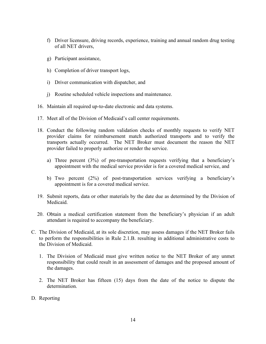- f) Driver licensure, driving records, experience, training and annual random drug testing of all NET drivers,
- g) Participant assistance,
- h) Completion of driver transport logs,
- i) Driver communication with dispatcher, and
- j) Routine scheduled vehicle inspections and maintenance.
- 16. Maintain all required up-to-date electronic and data systems.
- 17. Meet all of the Division of Medicaid's call center requirements.
- 18. Conduct the following random validation checks of monthly requests to verify NET provider claims for reimbursement match authorized transports and to verify the transports actually occurred. The NET Broker must document the reason the NET provider failed to properly authorize or render the service.
	- a) Three percent (3%) of pre-transportation requests verifying that a beneficiary's appointment with the medical service provider is for a covered medical service, and
	- b) Two percent (2%) of post-transportation services verifying a beneficiary's appointment is for a covered medical service.
- 19. Submit reports, data or other materials by the date due as determined by the Division of Medicaid.
- 20. Obtain a medical certification statement from the beneficiary's physician if an adult attendant is required to accompany the beneficiary.
- C. The Division of Medicaid, at its sole discretion, may assess damages if the NET Broker fails to perform the responsibilities in Rule 2.1.B. resulting in additional administrative costs to the Division of Medicaid.
	- 1. The Division of Medicaid must give written notice to the NET Broker of any unmet responsibility that could result in an assessment of damages and the proposed amount of the damages.
	- 2. The NET Broker has fifteen (15) days from the date of the notice to dispute the determination.
- D. Reporting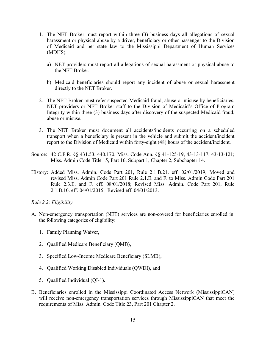- 1. The NET Broker must report within three (3) business days all allegations of sexual harassment or physical abuse by a driver, beneficiary or other passenger to the Division of Medicaid and per state law to the Mississippi Department of Human Services (MDHS).
	- a) NET providers must report all allegations of sexual harassment or physical abuse to the NET Broker.
	- b) Medicaid beneficiaries should report any incident of abuse or sexual harassment directly to the NET Broker.
- 2. The NET Broker must refer suspected Medicaid fraud, abuse or misuse by beneficiaries, NET providers or NET Broker staff to the Division of Medicaid's Office of Program Integrity within three (3) business days after discovery of the suspected Medicaid fraud, abuse or misuse.
- 3. The NET Broker must document all accidents/incidents occurring on a scheduled transport when a beneficiary is present in the vehicle and submit the accident/incident report to the Division of Medicaid within forty-eight (48) hours of the accident/incident.
- Source: 42 C.F.R. §§ 431.53, 440.170; Miss. Code Ann. §§ 41-125-19, 43-13-117, 43-13-121; Miss. Admin Code Title 15, Part 16, Subpart 1, Chapter 2, Subchapter 14.
- History: Added Miss. Admin. Code Part 201, Rule 2.1.B.21. eff. 02/01/2019; Moved and revised Miss. Admin Code Part 201 Rule 2.1.E. and F. to Miss. Admin Code Part 201 Rule 2.3.E. and F. eff. 08/01/2018; Revised Miss. Admin. Code Part 201, Rule 2.1.B.10. eff. 04/01/2015; Revised eff. 04/01/2013.

#### <span id="page-17-0"></span>*Rule 2.2: Eligibility*

- A. Non-emergency transportation (NET) services are non-covered for beneficiaries enrolled in the following categories of eligibility:
	- 1. Family Planning Waiver,
	- 2. Qualified Medicare Beneficiary (QMB),
	- 3. Specified Low-Income Medicare Beneficiary (SLMB),
	- 4. Qualified Working Disabled Individuals (QWDI), and
	- 5. Qualified Individual (QI-1).
- B. Beneficiaries enrolled in the Mississippi Coordinated Access Network (MississippiCAN) will receive non-emergency transportation services through MississippiCAN that meet the requirements of Miss. Admin. Code Title 23, Part 201 Chapter 2.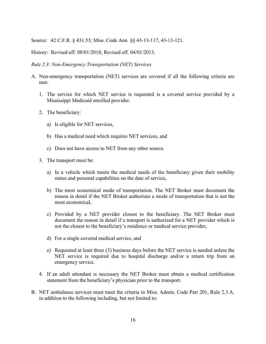Source: 42 C.F.R. § 431.53; Miss. Code Ann. §§ 43-13-117, 43-13-121.

History: Revised eff. 08/01/2018; Revised eff. 04/01/2013.

<span id="page-18-0"></span>*Rule 2.3: Non-Emergency Transportation (NET) Services*

- A. Non-emergency transportation (NET) services are covered if all the following criteria are met:
	- 1. The service for which NET service is requested is a covered service provided by a Mississippi Medicaid enrolled provider.
	- 2. The beneficiary:
		- a) Is eligible for NET services,
		- b) Has a medical need which requires NET services, and
		- c) Does not have access to NET from any other source.
	- 3. The transport must be:
		- a) In a vehicle which meets the medical needs of the beneficiary given their mobility status and personal capabilities on the date of service,
		- b) The most economical mode of transportation. The NET Broker must document the reason in detail if the NET Broker authorizes a mode of transportation that is not the most economical,
		- c) Provided by a NET provider closest to the beneficiary. The NET Broker must document the reason in detail if a transport is authorized for a NET provider which is not the closest to the beneficiary's residence or medical service provider,
		- d) For a single covered medical service, and
		- e) Requested at least three (3) business days before the NET service is needed unless the NET service is required due to hospital discharge and/or a return trip from an emergency service.
	- 4. If an adult attendant is necessary the NET Broker must obtain a medical certification statement from the beneficiary's physician prior to the transport.
- B. NET ambulance services must meet the criteria in Miss. Admin. Code Part 201, Rule 2.3.A. in addition to the following including, but not limited to: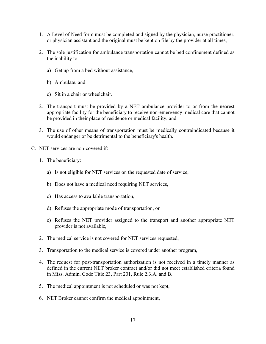- 1. A Level of Need form must be completed and signed by the physician, nurse practitioner, or physician assistant and the original must be kept on file by the provider at all times,
- 2. The sole justification for ambulance transportation cannot be bed confinement defined as the inability to:
	- a) Get up from a bed without assistance,
	- b) Ambulate, and
	- c) Sit in a chair or wheelchair.
- 2. The transport must be provided by a NET ambulance provider to or from the nearest appropriate facility for the beneficiary to receive non-emergency medical care that cannot be provided in their place of residence or medical facility, and
- 3. The use of other means of transportation must be medically contraindicated because it would endanger or be detrimental to the beneficiary's health.
- C. NET services are non-covered if:
	- 1. The beneficiary:
		- a) Is not eligible for NET services on the requested date of service,
		- b) Does not have a medical need requiring NET services,
		- c) Has access to available transportation,
		- d) Refuses the appropriate mode of transportation, or
		- e) Refuses the NET provider assigned to the transport and another appropriate NET provider is not available,
	- 2. The medical service is not covered for NET services requested,
	- 3. Transportation to the medical service is covered under another program,
	- 4. The request for post-transportation authorization is not received in a timely manner as defined in the current NET broker contract and/or did not meet established criteria found in Miss. Admin. Code Title 23, Part 201, Rule 2.3.A. and B.
	- 5. The medical appointment is not scheduled or was not kept,
	- 6. NET Broker cannot confirm the medical appointment,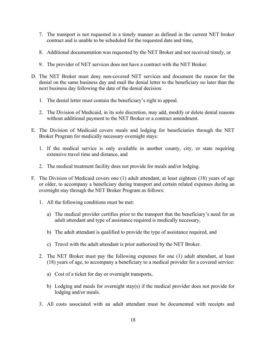- 7. The transport is not requested in a timely manner as defined in the current NET broker contract and is unable to be scheduled for the requested date and time,
- 8. Additional documentation was requested by the NET Broker and not received timely, or
- 9. The provider of NET services does not have a contract with the NET Broker.
- D. The NET Broker must deny non-covered NET services and document the reason for the denial on the same business day and mail the denial letter to the beneficiary no later than the next business day following the date of the denial decision.
	- 1. The denial letter must contain the beneficiary's right to appeal.
	- 2. The Division of Medicaid, in its sole discretion, may add, modify or delete denial reasons without additional payment to the NET Broker or a contract amendment.
- E. The Division of Medicaid covers meals and lodging for beneficiaries through the NET Broker Program for medically necessary overnight stays:
	- 1. If the medical service is only available in another county, city, or state requiring extensive travel time and distance, and
	- 2. The medical treatment facility does not provide for meals and/or lodging.
- F. The Division of Medicaid covers one (1) adult attendant, at least eighteen (18) years of age or older, to accompany a beneficiary during transport and certain related expenses during an overnight stay through the NET Broker Program as follows:
	- 1. All the following conditions must be met:
		- a) The medical provider certifies prior to the transport that the beneficiary's need for an adult attendant and type of assistance required is medically necessary,
		- b) The adult attendant is qualified to provide the type of assistance required, and
		- c) Travel with the adult attendant is prior authorized by the NET Broker.
	- 2. The NET Broker must pay the following expenses for one (1) adult attendant, at least (18) years of age, to accompany a beneficiary to a medical provider for a covered service:
		- a) Cost of a ticket for day or overnight transports,
		- b) Lodging and meals for overnight stay(s) if the medical provider does not provide for lodging and/or meals.
	- 3. All costs associated with an adult attendant must be documented with receipts and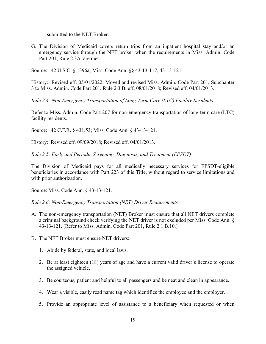submitted to the NET Broker.

G. The Division of Medicaid covers return trips from an inpatient hospital stay and/or an emergency service through the NET broker when the requirements in Miss. Admin. Code Part 201, Rule 2.3A. are met.

Source: 42 U.S.C. § 1396a; Miss. Code Ann. §§ 43-13-117, 43-13-121.

History: Revised eff. 05/01/2022; Moved and revised Miss. Admin. Code Part 201, Subchapter 3 to Miss. Admin. Code Part 201, Rule 2.3.B. eff. 08/01/2018; Revised eff. 04/01/2013.

<span id="page-21-0"></span>*Rule 2.4: Non-Emergency Transportation of Long-Term Care (LTC) Facility Residents* 

Refer to Miss. Admin. Code Part 207 for non-emergency transportation of long-term care (LTC) facility residents.

Source: 42 C.F.R. § 431.53; Miss. Code Ann. § 43-13-121.

History: Revised eff. 09/09/2018; Revised eff. 04/01/2013.

<span id="page-21-1"></span>*Rule 2.5: Early and Periodic Screening, Diagnosis, and Treatment (EPSDT)*

The Division of Medicaid pays for all medically necessary services for EPSDT-eligible beneficiaries in accordance with Part 223 of this Title, without regard to service limitations and with prior authorization.

Source: Miss. Code Ann. § 43-13-121.

<span id="page-21-2"></span>*Rule 2.6: Non-Emergency Transportation (NET) Driver Requirements*

- A. The non-emergency transportation (NET) Broker must ensure that all NET drivers complete a criminal background check verifying the NET driver is not excluded per Miss. Code Ann. § 43-13-121. [Refer to Miss. Admin. Code Part 201, Rule 2.1.B.10.]
- B. The NET Broker must ensure NET drivers:
	- 1. Abide by federal, state, and local laws.
	- 2. Be at least eighteen (18) years of age and have a current valid driver's license to operate the assigned vehicle.
	- 3. Be courteous, patient and helpful to all passengers and be neat and clean in appearance.
	- 4. Wear a visible, easily read name tag which identifies the employee and the employer.
	- 5. Provide an appropriate level of assistance to a beneficiary when requested or when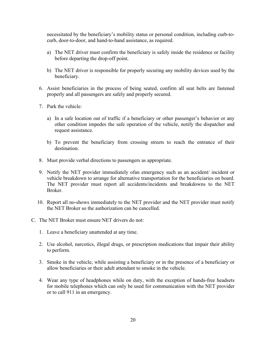necessitated by the beneficiary's mobility status or personal condition, including curb-tocurb, door-to-door, and hand-to-hand assistance, as required.

- a) The NET driver must confirm the beneficiary is safely inside the residence or facility before departing the drop-off point.
- b) The NET driver is responsible for properly securing any mobility devices used by the beneficiary.
- 6. Assist beneficiaries in the process of being seated, confirm all seat belts are fastened properly and all passengers are safely and properly secured.
- 7. Park the vehicle:
	- a) In a safe location out of traffic if a beneficiary or other passenger's behavior or any other condition impedes the safe operation of the vehicle, notify the dispatcher and request assistance.
	- b) To prevent the beneficiary from crossing streets to reach the entrance of their destination.
- 8. Must provide verbal directions to passengers as appropriate.
- 9. Notify the NET provider immediately ofan emergency such as an accident/ incident or vehicle breakdown to arrange for alternative transportation for the beneficiaries on board. The NET provider must report all accidents/incidents and breakdowns to the NET Broker.
- 10. Report all no-shows immediately to the NET provider and the NET provider must notify the NET Broker so the authorization can be cancelled.
- C. The NET Broker must ensure NET drivers do not:
	- 1. Leave a beneficiary unattended at any time.
	- 2. Use alcohol, narcotics, illegal drugs, or prescription medications that impair their ability to perform.
	- 3. Smoke in the vehicle, while assisting a beneficiary or in the presence of a beneficiary or allow beneficiaries or their adult attendant to smoke in the vehicle.
	- 4. Wear any type of headphones while on duty, with the exception of hands-free headsets for mobile telephones which can only be used for communication with the NET provider or to call 911 in an emergency.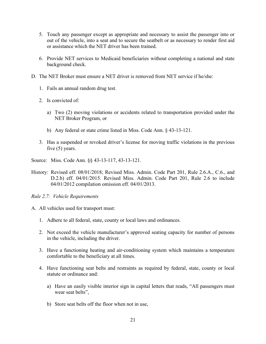- 5. Touch any passenger except as appropriate and necessary to assist the passenger into or out of the vehicle, into a seat and to secure the seatbelt or as necessary to render first aid or assistance which the NET driver has been trained.
- 6. Provide NET services to Medicaid beneficiaries without completing a national and state background check.
- D. The NET Broker must ensure a NET driver is removed from NET service if he/she:
	- 1. Fails an annual random drug test.
	- 2. Is convicted of:
		- a) Two (2) moving violations or accidents related to transportation provided under the NET Broker Program, or
		- b) Any federal or state crime listed in Miss. Code Ann. § 43-13-121.
	- 3. Has a suspended or revoked driver's license for moving traffic violations in the previous five (5) years.
- Source: Miss. Code Ann. §§ 43-13-117, 43-13-121.
- History: Revised eff. 08/01/2018; Revised Miss. Admin. Code Part 201, Rule 2.6.A., C.6., and D.2.b) eff. 04/01/2015. Revised Miss. Admin. Code Part 201, Rule 2.6 to include 04/01/2012 compilation omission eff. 04/01/2013.
- <span id="page-23-0"></span>*Rule 2.7: Vehicle Requirements*
- A. All vehicles used for transport must:
	- 1. Adhere to all federal, state, county or local laws and ordinances.
	- 2. Not exceed the vehicle manufacturer's approved seating capacity for number of persons in the vehicle, including the driver.
	- 3. Have a functioning heating and air-conditioning system which maintains a temperature comfortable to the beneficiary at all times.
	- 4. Have functioning seat belts and restraints as required by federal, state, county or local statute or ordinance and:
		- a) Have an easily visible interior sign in capital letters that reads, "All passengers must wear seat belts",
		- b) Store seat belts off the floor when not in use,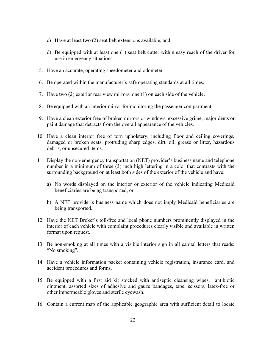- c) Have at least two (2) seat belt extensions available, and
- d) Be equipped with at least one (1) seat belt cutter within easy reach of the driver for use in emergency situations.
- 5. Have an accurate, operating speedometer and odometer.
- 6. Be operated within the manufacturer's safe operating standards at all times.
- 7. Have two (2) exterior rear view mirrors, one (1) on each side of the vehicle.
- 8. Be equipped with an interior mirror for monitoring the passenger compartment.
- 9. Have a clean exterior free of broken mirrors or windows, excessive grime, major dents or paint damage that detracts from the overall appearance of the vehicles.
- 10. Have a clean interior free of torn upholstery, including floor and ceiling coverings, damaged or broken seats, protruding sharp edges, dirt, oil, grease or litter, hazardous debris, or unsecured items.
- 11. Display the non-emergency transportation (NET) provider's business name and telephone number in a minimum of three (3) inch high lettering in a color that contrasts with the surrounding background on at least both sides of the exterior of the vehicle and have:
	- a) No words displayed on the interior or exterior of the vehicle indicating Medicaid beneficiaries are being transported, or
	- b) A NET provider's business name which does not imply Medicaid beneficiaries are being transported.
- 12. Have the NET Broker's toll-free and local phone numbers prominently displayed in the interior of each vehicle with complaint procedures clearly visible and available in written format upon request.
- 13. Be non-smoking at all times with a visible interior sign in all capital letters that reads: "No smoking".
- 14. Have a vehicle information packet containing vehicle registration, insurance card, and accident procedures and forms.
- 15. Be equipped with a first aid kit stocked with antiseptic cleansing wipes, antibiotic ointment, assorted sizes of adhesive and gauze bandages, tape, scissors, latex-free or other impermeable gloves and sterile eyewash.
- 16. Contain a current map of the applicable geographic area with sufficient detail to locate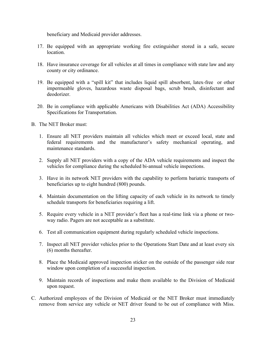beneficiary and Medicaid provider addresses.

- 17. Be equipped with an appropriate working fire extinguisher stored in a safe, secure location.
- 18. Have insurance coverage for all vehicles at all times in compliance with state law and any county or city ordinance.
- 19. Be equipped with a "spill kit" that includes liquid spill absorbent, latex-free or other impermeable gloves, hazardous waste disposal bags, scrub brush, disinfectant and deodorizer.
- 20. Be in compliance with applicable Americans with Disabilities Act (ADA) Accessibility Specifications for Transportation.
- B. The NET Broker must:
	- 1. Ensure all NET providers maintain all vehicles which meet or exceed local, state and federal requirements and the manufacturer's safety mechanical operating, and maintenance standards.
	- 2. Supply all NET providers with a copy of the ADA vehicle requirements and inspect the vehicles for compliance during the scheduled bi-annual vehicle inspections.
	- 3. Have in its network NET providers with the capability to perform bariatric transports of beneficiaries up to eight hundred (800) pounds.
	- 4. Maintain documentation on the lifting capacity of each vehicle in its network to timely schedule transports for beneficiaries requiring a lift.
	- 5. Require every vehicle in a NET provider's fleet has a real-time link via a phone or twoway radio. Pagers are not acceptable as a substitute.
	- 6. Test all communication equipment during regularly scheduled vehicle inspections.
	- 7. Inspect all NET provider vehicles prior to the Operations Start Date and at least every six (6) months thereafter.
	- 8. Place the Medicaid approved inspection sticker on the outside of the passenger side rear window upon completion of a successful inspection.
	- 9. Maintain records of inspections and make them available to the Division of Medicaid upon request.
- C. Authorized employees of the Division of Medicaid or the NET Broker must immediately remove from service any vehicle or NET driver found to be out of compliance with Miss.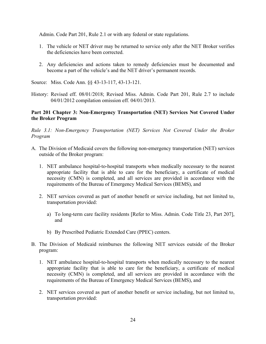Admin. Code Part 201, Rule 2.1 or with any federal or state regulations.

- 1. The vehicle or NET driver may be returned to service only after the NET Broker verifies the deficiencies have been corrected.
- 2. Any deficiencies and actions taken to remedy deficiencies must be documented and become a part of the vehicle's and the NET driver's permanent records.

Source: Miss. Code Ann. §§ 43-13-117, 43-13-121.

History: Revised eff. 08/01/2018; Revised Miss. Admin. Code Part 201, Rule 2.7 to include 04/01/2012 compilation omission eff. 04/01/2013.

#### <span id="page-26-0"></span>**Part 201 Chapter 3: Non-Emergency Transportation (NET) Services Not Covered Under the Broker Program**

<span id="page-26-1"></span>*Rule 3.1: Non-Emergency Transportation (NET) Services Not Covered Under the Broker Program* 

- A. The Division of Medicaid covers the following non-emergency transportation (NET) services outside of the Broker program:
	- 1. NET ambulance hospital-to-hospital transports when medically necessary to the nearest appropriate facility that is able to care for the beneficiary, a certificate of medical necessity (CMN) is completed, and all services are provided in accordance with the requirements of the Bureau of Emergency Medical Services (BEMS), and
	- 2. NET services covered as part of another benefit or service including, but not limited to, transportation provided:
		- a) To long-term care facility residents [Refer to Miss. Admin. Code Title 23, Part 207], and
		- b) By Prescribed Pediatric Extended Care (PPEC) centers.
- B. The Division of Medicaid reimburses the following NET services outside of the Broker program:
	- 1. NET ambulance hospital-to-hospital transports when medically necessary to the nearest appropriate facility that is able to care for the beneficiary, a certificate of medical necessity (CMN) is completed, and all services are provided in accordance with the requirements of the Bureau of Emergency Medical Services (BEMS), and
	- 2. NET services covered as part of another benefit or service including, but not limited to, transportation provided: